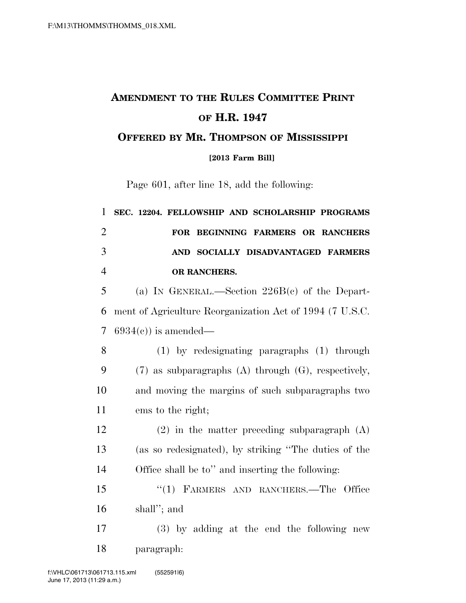## **AMENDMENT TO THE RULES COMMITTEE PRINT OF H.R. 1947 OFFERED BY MR. THOMPSON OF MISSISSIPPI**

**[2013 Farm Bill]**

Page 601, after line 18, add the following:

| 1              | SEC. 12204. FELLOWSHIP AND SCHOLARSHIP PROGRAMS            |
|----------------|------------------------------------------------------------|
| $\overline{2}$ | FOR BEGINNING FARMERS OR RANCHERS                          |
| 3              | AND SOCIALLY DISADVANTAGED FARMERS                         |
| $\overline{4}$ | OR RANCHERS.                                               |
| 5              | (a) IN GENERAL.—Section $226B(c)$ of the Depart-           |
| 6              | ment of Agriculture Reorganization Act of 1994 (7 U.S.C.   |
| $\overline{7}$ | $6934(c)$ is amended—                                      |
| 8              | $(1)$ by redesignating paragraphs $(1)$ through            |
| 9              | $(7)$ as subparagraphs $(A)$ through $(G)$ , respectively, |
| 10             | and moving the margins of such subparagraphs two           |
| 11             | ems to the right;                                          |
| 12             | $(2)$ in the matter preceding subparagraph $(A)$           |
| 13             | (as so redesignated), by striking "The duties of the       |
| 14             | Office shall be to" and inserting the following:           |
| 15             | "(1) FARMERS AND RANCHERS.—The Office                      |
| 16             | shall"; and                                                |
| 17             | (3) by adding at the end the following new                 |
| 18             | paragraph:                                                 |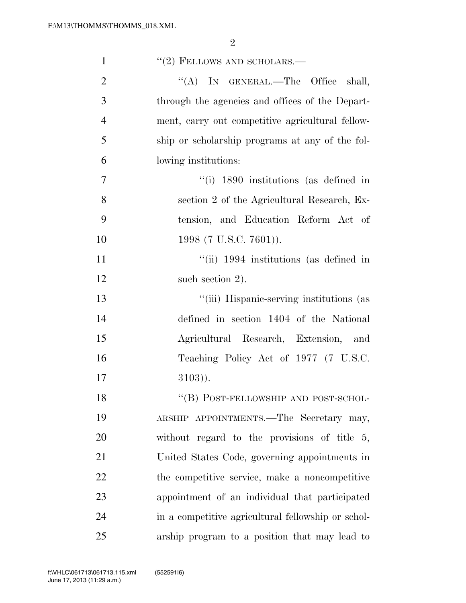| $\mathbf{1}$   | $"(2)$ FELLOWS AND SCHOLARS.—                      |
|----------------|----------------------------------------------------|
| $\overline{2}$ | "(A) IN GENERAL.—The Office shall,                 |
| 3              | through the agencies and offices of the Depart-    |
| $\overline{4}$ | ment, carry out competitive agricultural fellow-   |
| 5              | ship or scholarship programs at any of the fol-    |
| 6              | lowing institutions:                               |
| $\overline{7}$ | $\degree$ (i) 1890 institutions (as defined in     |
| 8              | section 2 of the Agricultural Research, Ex-        |
| 9              | tension, and Education Reform Act of               |
| 10             | 1998 (7 U.S.C. 7601)).                             |
| 11             | "(ii) 1994 institutions (as defined in             |
| 12             | such section 2).                                   |
| 13             | "(iii) Hispanic-serving institutions (as           |
| 14             | defined in section 1404 of the National            |
| 15             | Agricultural Research, Extension, and              |
| 16             | Teaching Policy Act of 1977 (7 U.S.C.              |
| 17             | $3103)$ ).                                         |
| 18             | "(B) POST-FELLOWSHIP AND POST-SCHOL-               |
| 19             | ARSHIP APPOINTMENTS.—The Secretary may,            |
| 20             | without regard to the provisions of title $5$ ,    |
| 21             | United States Code, governing appointments in      |
| 22             | the competitive service, make a noncompetitive     |
| 23             | appointment of an individual that participated     |
| 24             | in a competitive agricultural fellowship or schol- |
| 25             | arship program to a position that may lead to      |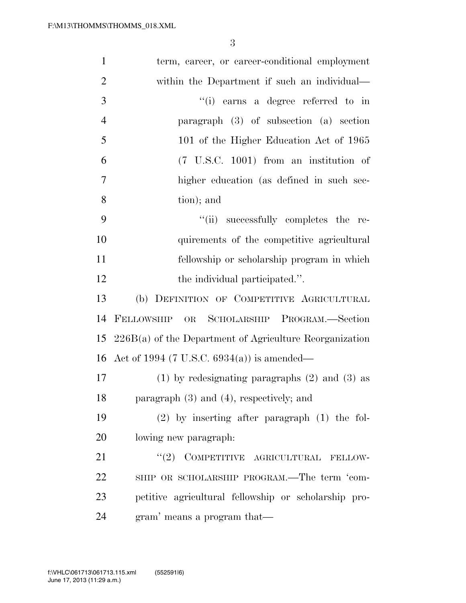| $\mathbf{1}$   | term, career, or career-conditional employment            |
|----------------|-----------------------------------------------------------|
| $\mathbf{2}$   | within the Department if such an individual—              |
| 3              | "(i) earns a degree referred to in                        |
| $\overline{4}$ | paragraph $(3)$ of subsection $(a)$ section               |
| 5              | 101 of the Higher Education Act of 1965                   |
| 6              |                                                           |
| $\overline{7}$ | higher education (as defined in such sec-                 |
| 8              | tion); and                                                |
| 9              | "(ii) successfully completes the re-                      |
| 10             | quirements of the competitive agricultural                |
| 11             | fellowship or scholarship program in which                |
| 12             | the individual participated.".                            |
| 13             | (b) DEFINITION OF COMPETITIVE AGRICULTURAL                |
| 14             | FELLOWSHIP<br>SCHOLARSHIP PROGRAM.—Section<br>OR          |
| 15             | $226B(a)$ of the Department of Agriculture Reorganization |
|                | 16 Act of 1994 (7 U.S.C. $6934(a)$ ) is amended—          |
| 17             | $(1)$ by redesignating paragraphs $(2)$ and $(3)$ as      |
| 18             | paragraph $(3)$ and $(4)$ , respectively; and             |
| 19             | $(2)$ by inserting after paragraph $(1)$ the fol-         |
| 20             | lowing new paragraph.                                     |
| 21             | $``(2)$ COMPETITIVE AGRICULTURAL<br>FELLOW-               |
| 22             | SHIP OR SCHOLARSHIP PROGRAM.—The term 'com-               |
| 23             | petitive agricultural fellowship or scholarship pro-      |
| 24             | gram' means a program that—                               |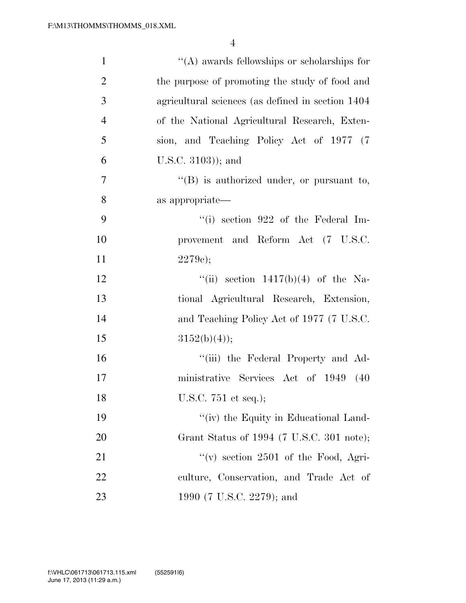| $\mathbf{1}$   | $\lq\lq$ awards fellowships or scholarships for    |
|----------------|----------------------------------------------------|
| $\overline{2}$ | the purpose of promoting the study of food and     |
| 3              | agricultural sciences (as defined in section 1404) |
| $\overline{4}$ | of the National Agricultural Research, Exten-      |
| 5              | sion, and Teaching Policy Act of 1977 (7           |
| 6              | U.S.C. $3103$ ); and                               |
| 7              | $\lq\lq(B)$ is authorized under, or pursuant to,   |
| 8              | as appropriate—                                    |
| 9              | $``(i)$ section 922 of the Federal Im-             |
| 10             | provement and Reform Act (7 U.S.C.                 |
| 11             | 2279c);                                            |
| 12             | "(ii) section $1417(b)(4)$ of the Na-              |
| 13             | tional Agricultural Research, Extension,           |
| 14             | and Teaching Policy Act of 1977 (7 U.S.C.          |
| 15             | $3152(b)(4)$ ;                                     |
| 16             | "(iii) the Federal Property and Ad-                |
| 17             | ministrative Services Act of 1949 (40              |
| 18             | U.S.C. 751 et seq.);                               |
| 19             | "(iv) the Equity in Educational Land-              |
| 20             | Grant Status of 1994 (7 U.S.C. 301 note);          |
| 21             | "(v) section $2501$ of the Food, Agri-             |
| 22             | culture, Conservation, and Trade Act of            |
| 23             | 1990 (7 U.S.C. 2279); and                          |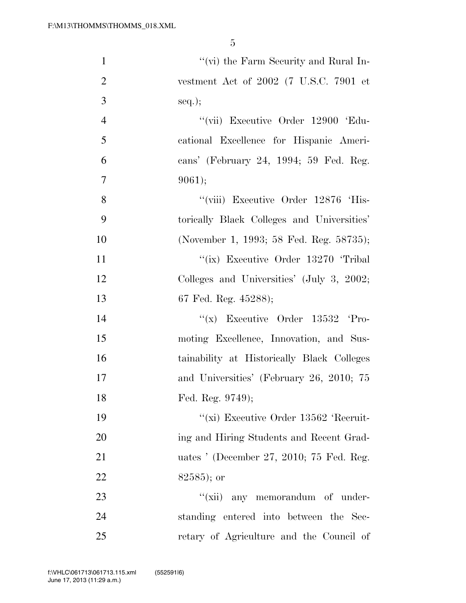| $\mathbf{1}$   | "(vi) the Farm Security and Rural In-      |
|----------------|--------------------------------------------|
| $\overline{2}$ | vestment Act of $2002$ (7 U.S.C. 7901 et   |
| 3              | $seq.$ ;                                   |
| $\overline{4}$ | "(vii) Executive Order 12900 'Edu-         |
| 5              | cational Excellence for Hispanic Ameri-    |
| 6              | cans' (February 24, 1994; 59 Fed. Reg.     |
| $\overline{7}$ | 9061);                                     |
| 8              | "(viii) Executive Order 12876 'His-        |
| 9              | torically Black Colleges and Universities' |
| 10             | (November 1, 1993; 58 Fed. Reg. 58735);    |
| 11             | "(ix) Executive Order 13270 Tribal         |
| 12             | Colleges and Universities' (July 3, 2002;  |
| 13             | 67 Fed. Reg. 45288);                       |
| 14             | "(x) Executive Order $13532$ 'Pro-         |
| 15             | moting Excellence, Innovation, and Sus-    |
| 16             | tainability at Historically Black Colleges |
| 17             | and Universities' (February 26, 2010; 75   |
| 18             | Fed. Reg. 9749);                           |
| 19             | "(xi) Executive Order 13562 'Recruit-      |
| 20             | ing and Hiring Students and Recent Grad-   |
| 21             | uates ' (December 27, 2010; 75 Fed. Reg.   |
| 22             | $82585$ ; or                               |
| 23             | "(xii) any memorandum of under-            |
| 24             | standing entered into between the Sec-     |
| 25             | retary of Agriculture and the Council of   |